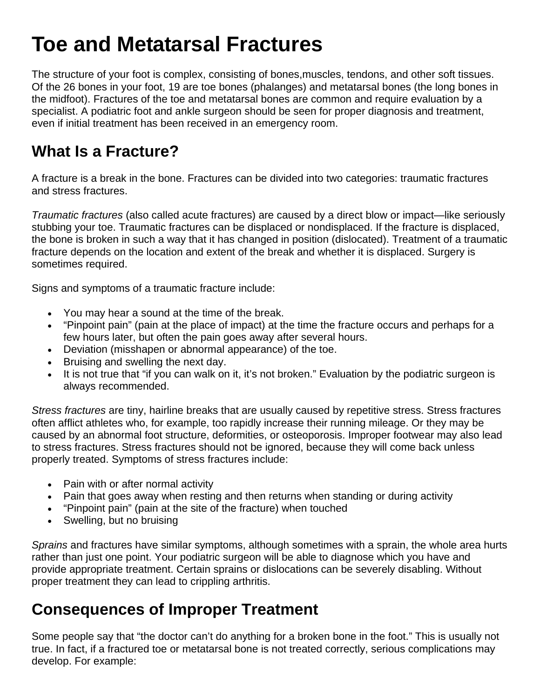# **Toe and Metatarsal Fractures**

The structure of your foot is complex, consisting of bones,muscles, tendons, and other soft tissues. Of the 26 bones in your foot, 19 are toe bones (phalanges) and metatarsal bones (the long bones in the midfoot). Fractures of the toe and metatarsal bones are common and require evaluation by a specialist. A podiatric foot and ankle surgeon should be seen for proper diagnosis and treatment, even if initial treatment has been received in an emergency room.

#### **What Is a Fracture?**

A fracture is a break in the bone. Fractures can be divided into two categories: traumatic fractures and stress fractures.

*Traumatic fractures* (also called acute fractures) are caused by a direct blow or impact—like seriously stubbing your toe. Traumatic fractures can be displaced or nondisplaced. If the fracture is displaced, the bone is broken in such a way that it has changed in position (dislocated). Treatment of a traumatic fracture depends on the location and extent of the break and whether it is displaced. Surgery is sometimes required.

Signs and symptoms of a traumatic fracture include:

- You may hear a sound at the time of the break.
- "Pinpoint pain" (pain at the place of impact) at the time the fracture occurs and perhaps for a few hours later, but often the pain goes away after several hours.
- Deviation (misshapen or abnormal appearance) of the toe.
- Bruising and swelling the next day.
- It is not true that "if you can walk on it, it's not broken." Evaluation by the podiatric surgeon is always recommended.

*Stress fractures* are tiny, hairline breaks that are usually caused by repetitive stress. Stress fractures often afflict athletes who, for example, too rapidly increase their running mileage. Or they may be caused by an abnormal foot structure, deformities, or osteoporosis. Improper footwear may also lead to stress fractures. Stress fractures should not be ignored, because they will come back unless properly treated. Symptoms of stress fractures include:

- Pain with or after normal activity
- Pain that goes away when resting and then returns when standing or during activity
- "Pinpoint pain" (pain at the site of the fracture) when touched
- Swelling, but no bruising

*Sprains* and fractures have similar symptoms, although sometimes with a sprain, the whole area hurts rather than just one point. Your podiatric surgeon will be able to diagnose which you have and provide appropriate treatment. Certain sprains or dislocations can be severely disabling. Without proper treatment they can lead to crippling arthritis.

#### **Consequences of Improper Treatment**

Some people say that "the doctor can't do anything for a broken bone in the foot." This is usually not true. In fact, if a fractured toe or metatarsal bone is not treated correctly, serious complications may develop. For example: